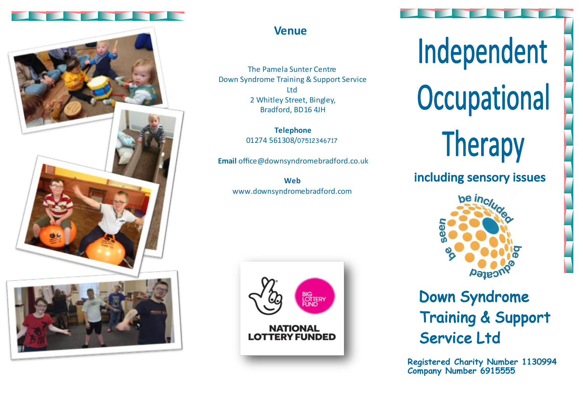

## **Venue**

The Pamela Sunter Centre Down Syndrome Training & Support Service Ltd 2 Whitley Street, Bingley, Bradford, BD16 4JH

> **Telephone** 01274 561308/07512346717

**Email** office@downsyndromebradford.co.uk

**Web** www.downsyndromebradford.com



# Independent Occupational **Therapy**

including sensory issues



# **Down Syndrome Training & Support** Service Ltd

**Registered Charity Number 1130994 Company Number 6915555**